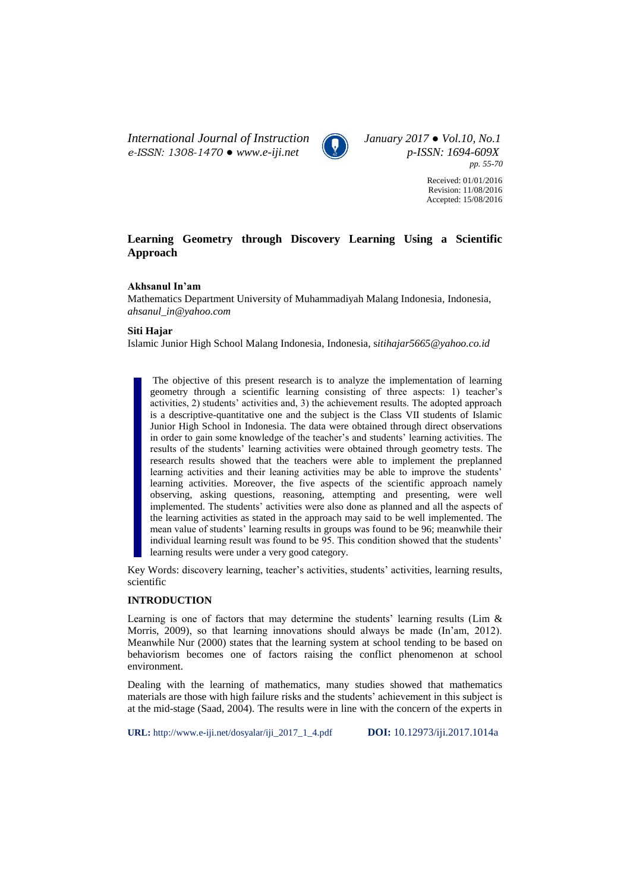*International Journal of Instruction January 2017 ● Vol.10, No.1 e-ISSN: 1308-1470 ● www.e-iji.net p-ISSN: 1694-609X*



*pp. 55-70*

Received: 01/01/2016 Revision: 11/08/2016 Accepted: 15/08/2016

# **Learning Geometry through Discovery Learning Using a Scientific Approach**

# **Akhsanul In'am**

Mathematics Department University of Muhammadiyah Malang Indonesia, Indonesia, *[ahsanul\\_in@yahoo.com](mailto:ahsanul_in@yahoo.com)*

## **Siti Hajar**

Islamic Junior High School Malang Indonesia, Indonesia, s*itihajar5665@yahoo.co.id*

The objective of this present research is to analyze the implementation of learning geometry through a scientific learning consisting of three aspects: 1) teacher's activities, 2) students' activities and, 3) the achievement results. The adopted approach is a descriptive-quantitative one and the subject is the Class VII students of Islamic Junior High School in Indonesia. The data were obtained through direct observations in order to gain some knowledge of the teacher's and students' learning activities. The results of the students' learning activities were obtained through geometry tests. The research results showed that the teachers were able to implement the preplanned learning activities and their leaning activities may be able to improve the students' learning activities. Moreover, the five aspects of the scientific approach namely observing, asking questions, reasoning, attempting and presenting, were well implemented. The students' activities were also done as planned and all the aspects of the learning activities as stated in the approach may said to be well implemented. The mean value of students' learning results in groups was found to be 96; meanwhile their individual learning result was found to be 95. This condition showed that the students' learning results were under a very good category.

Key Words: discovery learning, teacher's activities, students' activities, learning results, scientific

## **INTRODUCTION**

Learning is one of factors that may determine the students' learning results (Lim  $\&$ Morris, 2009), so that learning innovations should always be made (In'am, 2012). Meanwhile Nur (2000) states that the learning system at school tending to be based on behaviorism becomes one of factors raising the conflict phenomenon at school environment.

Dealing with the learning of mathematics, many studies showed that mathematics materials are those with high failure risks and the students' achievement in this subject is at the mid-stage (Saad, 2004). The results were in line with the concern of the experts in

**URL:** http://www.e-iji.net/dosyalar/iji\_2017\_1\_4.pdf **DOI:** 10.12973/iji.2017.1014a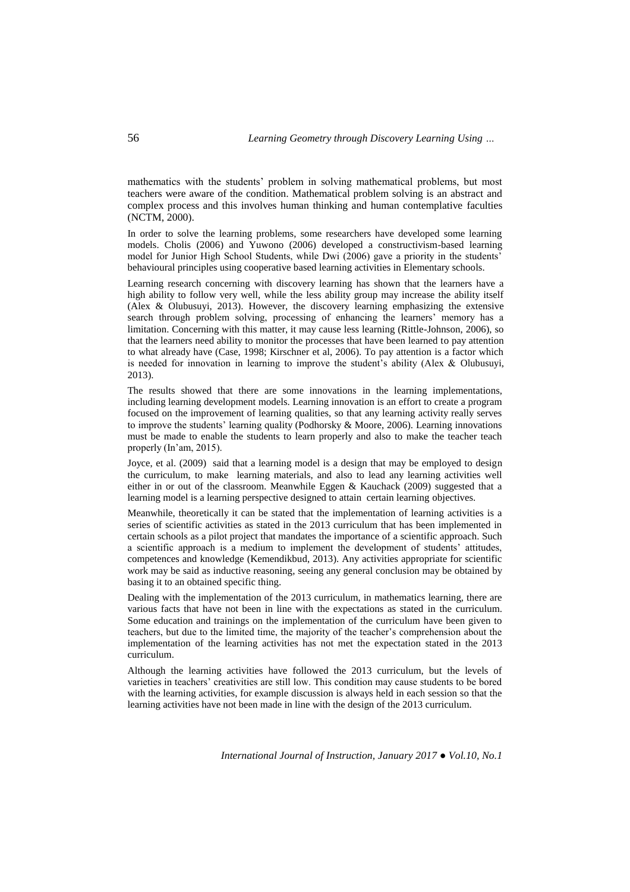mathematics with the students' problem in solving mathematical problems, but most teachers were aware of the condition. Mathematical problem solving is an abstract and complex process and this involves human thinking and human contemplative faculties (NCTM, 2000).

In order to solve the learning problems, some researchers have developed some learning models. Cholis (2006) and Yuwono (2006) developed a constructivism-based learning model for Junior High School Students, while Dwi (2006) gave a priority in the students' behavioural principles using cooperative based learning activities in Elementary schools.

Learning research concerning with discovery learning has shown that the learners have a high ability to follow very well, while the less ability group may increase the ability itself (Alex & Olubusuyi, 2013). However, the discovery learning emphasizing the extensive search through problem solving, processing of enhancing the learners' memory has a limitation. Concerning with this matter, it may cause less learning (Rittle-Johnson, 2006), so that the learners need ability to monitor the processes that have been learned to pay attention to what already have (Case, 1998; Kirschner et al, 2006). To pay attention is a factor which is needed for innovation in learning to improve the student's ability (Alex  $\&$  Olubusuyi, 2013).

The results showed that there are some innovations in the learning implementations, including learning development models. Learning innovation is an effort to create a program focused on the improvement of learning qualities, so that any learning activity really serves to improve the students' learning quality (Podhorsky & Moore, 2006). Learning innovations must be made to enable the students to learn properly and also to make the teacher teach properly (In'am, 2015).

Joyce, et al. (2009) said that a learning model is a design that may be employed to design the curriculum, to make learning materials, and also to lead any learning activities well either in or out of the classroom. Meanwhile Eggen & Kauchack (2009) suggested that a learning model is a learning perspective designed to attain certain learning objectives.

Meanwhile, theoretically it can be stated that the implementation of learning activities is a series of scientific activities as stated in the 2013 curriculum that has been implemented in certain schools as a pilot project that mandates the importance of a scientific approach. Such a scientific approach is a medium to implement the development of students' attitudes, competences and knowledge (Kemendikbud, 2013). Any activities appropriate for scientific work may be said as inductive reasoning, seeing any general conclusion may be obtained by basing it to an obtained specific thing.

Dealing with the implementation of the 2013 curriculum, in mathematics learning, there are various facts that have not been in line with the expectations as stated in the curriculum. Some education and trainings on the implementation of the curriculum have been given to teachers, but due to the limited time, the majority of the teacher's comprehension about the implementation of the learning activities has not met the expectation stated in the 2013 curriculum.

Although the learning activities have followed the 2013 curriculum, but the levels of varieties in teachers' creativities are still low. This condition may cause students to be bored with the learning activities, for example discussion is always held in each session so that the learning activities have not been made in line with the design of the 2013 curriculum.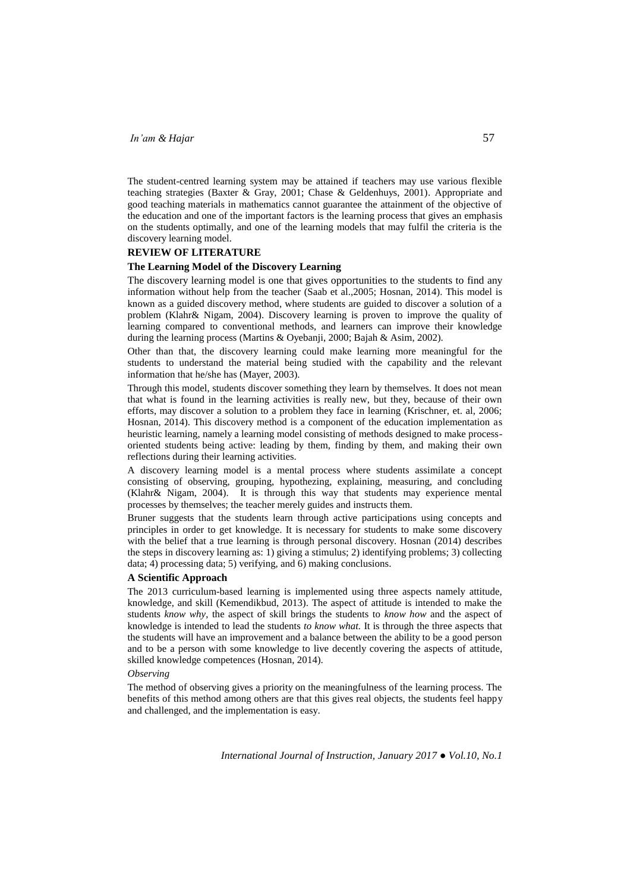The student-centred learning system may be attained if teachers may use various flexible teaching strategies (Baxter & Gray, 2001; Chase & Geldenhuys, 2001). Appropriate and good teaching materials in mathematics cannot guarantee the attainment of the objective of the education and one of the important factors is the learning process that gives an emphasis on the students optimally, and one of the learning models that may fulfil the criteria is the discovery learning model.

## **REVIEW OF LITERATURE**

### **The Learning Model of the Discovery Learning**

The discovery learning model is one that gives opportunities to the students to find any information without help from the teacher (Saab et al.,2005; Hosnan, 2014). This model is known as a guided discovery method, where students are guided to discover a solution of a problem (Klahr& Nigam, 2004). Discovery learning is proven to improve the quality of learning compared to conventional methods, and learners can improve their knowledge during the learning process (Martins & Oyebanji, 2000; Bajah & Asim, 2002).

Other than that, the discovery learning could make learning more meaningful for the students to understand the material being studied with the capability and the relevant information that he/she has (Mayer, 2003).

Through this model, students discover something they learn by themselves. It does not mean that what is found in the learning activities is really new, but they, because of their own efforts, may discover a solution to a problem they face in learning (Krischner, et. al, 2006; Hosnan, 2014). This discovery method is a component of the education implementation as heuristic learning, namely a learning model consisting of methods designed to make processoriented students being active: leading by them, finding by them, and making their own reflections during their learning activities.

A discovery learning model is a mental process where students assimilate a concept consisting of observing, grouping, hypothezing, explaining, measuring, and concluding (Klahr& Nigam, 2004). It is through this way that students may experience mental processes by themselves; the teacher merely guides and instructs them.

Bruner suggests that the students learn through active participations using concepts and principles in order to get knowledge. It is necessary for students to make some discovery with the belief that a true learning is through personal discovery. Hosnan (2014) describes the steps in discovery learning as: 1) giving a stimulus; 2) identifying problems; 3) collecting data; 4) processing data; 5) verifying, and 6) making conclusions.

## **A Scientific Approach**

The 2013 curriculum-based learning is implemented using three aspects namely attitude, knowledge, and skill (Kemendikbud, 2013). The aspect of attitude is intended to make the students *know why*, the aspect of skill brings the students to *know how* and the aspect of knowledge is intended to lead the students *to know what.* It is through the three aspects that the students will have an improvement and a balance between the ability to be a good person and to be a person with some knowledge to live decently covering the aspects of attitude, skilled knowledge competences (Hosnan, 2014).

### *Observing*

The method of observing gives a priority on the meaningfulness of the learning process. The benefits of this method among others are that this gives real objects, the students feel happy and challenged, and the implementation is easy.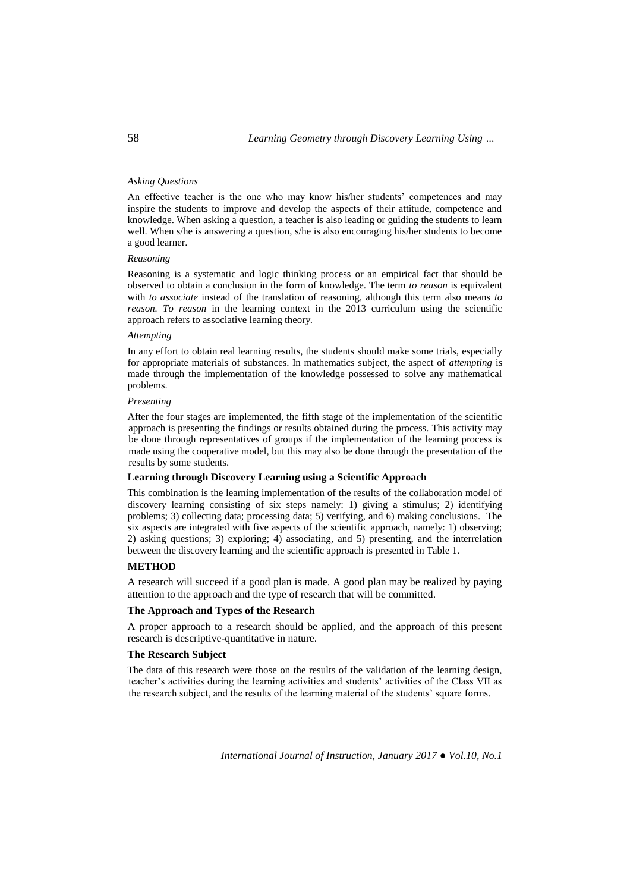## *Asking Questions*

An effective teacher is the one who may know his/her students' competences and may inspire the students to improve and develop the aspects of their attitude, competence and knowledge. When asking a question, a teacher is also leading or guiding the students to learn well. When s/he is answering a question, s/he is also encouraging his/her students to become a good learner.

## *Reasoning*

Reasoning is a systematic and logic thinking process or an empirical fact that should be observed to obtain a conclusion in the form of knowledge. The term *to reason* is equivalent with *to associate* instead of the translation of reasoning, although this term also means *to reason. To reason* in the learning context in the 2013 curriculum using the scientific approach refers to associative learning theory.

#### *Attempting*

In any effort to obtain real learning results, the students should make some trials, especially for appropriate materials of substances. In mathematics subject, the aspect of *attempting* is made through the implementation of the knowledge possessed to solve any mathematical problems.

## *Presenting*

After the four stages are implemented, the fifth stage of the implementation of the scientific approach is presenting the findings or results obtained during the process. This activity may be done through representatives of groups if the implementation of the learning process is made using the cooperative model, but this may also be done through the presentation of the results by some students.

## **Learning through Discovery Learning using a Scientific Approach**

This combination is the learning implementation of the results of the collaboration model of discovery learning consisting of six steps namely: 1) giving a stimulus; 2) identifying problems; 3) collecting data; processing data; 5) verifying, and 6) making conclusions. The six aspects are integrated with five aspects of the scientific approach, namely: 1) observing; 2) asking questions; 3) exploring; 4) associating, and 5) presenting, and the interrelation between the discovery learning and the scientific approach is presented in Table 1.

#### **METHOD**

A research will succeed if a good plan is made. A good plan may be realized by paying attention to the approach and the type of research that will be committed.

# **The Approach and Types of the Research**

A proper approach to a research should be applied, and the approach of this present research is descriptive-quantitative in nature.

## **The Research Subject**

The data of this research were those on the results of the validation of the learning design, teacher's activities during the learning activities and students' activities of the Class VII as the research subject, and the results of the learning material of the students' square forms.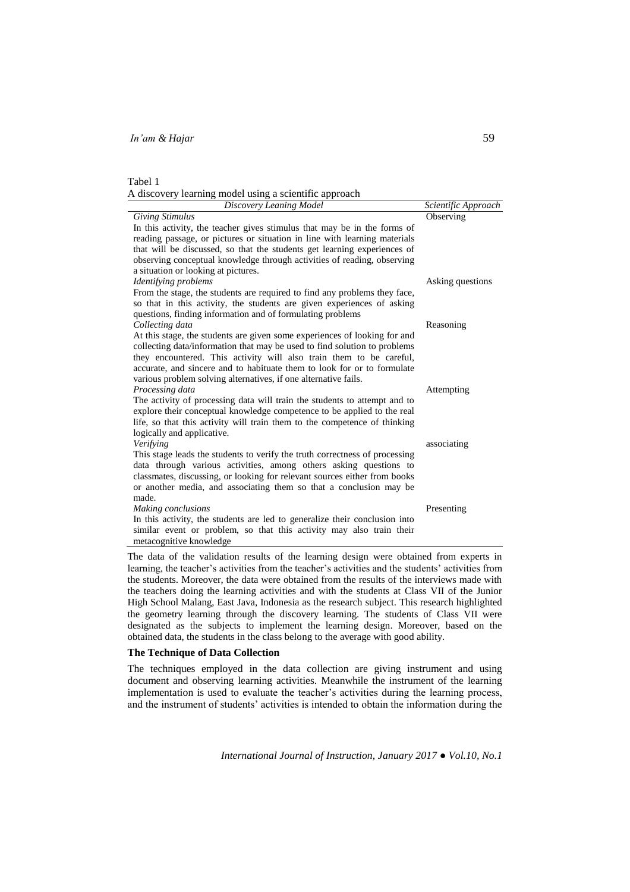| Tabel 1 |                                                        |  |  |
|---------|--------------------------------------------------------|--|--|
|         | A discovery learning model using a scientific approach |  |  |

The data of the validation results of the learning design were obtained from experts in learning, the teacher's activities from the teacher's activities and the students' activities from the students. Moreover, the data were obtained from the results of the interviews made with the teachers doing the learning activities and with the students at Class VII of the Junior High School Malang, East Java, Indonesia as the research subject. This research highlighted the geometry learning through the discovery learning. The students of Class VII were designated as the subjects to implement the learning design. Moreover, based on the obtained data, the students in the class belong to the average with good ability.

## **The Technique of Data Collection**

The techniques employed in the data collection are giving instrument and using document and observing learning activities. Meanwhile the instrument of the learning implementation is used to evaluate the teacher's activities during the learning process, and the instrument of students' activities is intended to obtain the information during the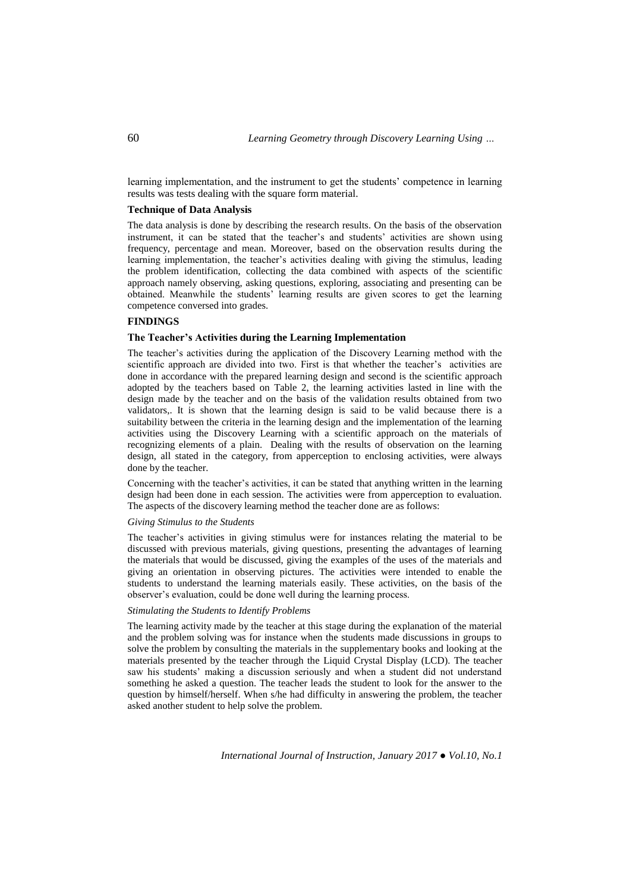learning implementation, and the instrument to get the students' competence in learning results was tests dealing with the square form material.

## **Technique of Data Analysis**

The data analysis is done by describing the research results. On the basis of the observation instrument, it can be stated that the teacher's and students' activities are shown using frequency, percentage and mean. Moreover, based on the observation results during the learning implementation, the teacher's activities dealing with giving the stimulus, leading the problem identification, collecting the data combined with aspects of the scientific approach namely observing, asking questions, exploring, associating and presenting can be obtained. Meanwhile the students' learning results are given scores to get the learning competence conversed into grades.

## **FINDINGS**

## **The Teacher's Activities during the Learning Implementation**

The teacher's activities during the application of the Discovery Learning method with the scientific approach are divided into two. First is that whether the teacher's activities are done in accordance with the prepared learning design and second is the scientific approach adopted by the teachers based on Table 2, the learning activities lasted in line with the design made by the teacher and on the basis of the validation results obtained from two validators,. It is shown that the learning design is said to be valid because there is a suitability between the criteria in the learning design and the implementation of the learning activities using the Discovery Learning with a scientific approach on the materials of recognizing elements of a plain. Dealing with the results of observation on the learning design, all stated in the category, from apperception to enclosing activities, were always done by the teacher.

Concerning with the teacher's activities, it can be stated that anything written in the learning design had been done in each session. The activities were from apperception to evaluation. The aspects of the discovery learning method the teacher done are as follows:

## *Giving Stimulus to the Students*

The teacher's activities in giving stimulus were for instances relating the material to be discussed with previous materials, giving questions, presenting the advantages of learning the materials that would be discussed, giving the examples of the uses of the materials and giving an orientation in observing pictures. The activities were intended to enable the students to understand the learning materials easily. These activities, on the basis of the observer's evaluation, could be done well during the learning process.

## *Stimulating the Students to Identify Problems*

The learning activity made by the teacher at this stage during the explanation of the material and the problem solving was for instance when the students made discussions in groups to solve the problem by consulting the materials in the supplementary books and looking at the materials presented by the teacher through the Liquid Crystal Display (LCD). The teacher saw his students' making a discussion seriously and when a student did not understand something he asked a question. The teacher leads the student to look for the answer to the question by himself/herself. When s/he had difficulty in answering the problem, the teacher asked another student to help solve the problem.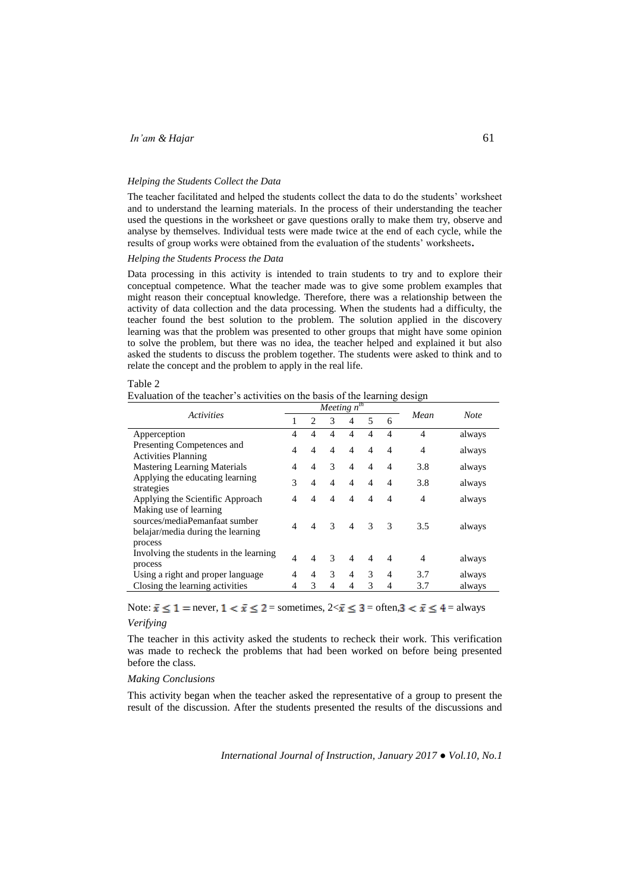#### *Helping the Students Collect the Data*

The teacher facilitated and helped the students collect the data to do the students' worksheet and to understand the learning materials. In the process of their understanding the teacher used the questions in the worksheet or gave questions orally to make them try, observe and analyse by themselves. Individual tests were made twice at the end of each cycle, while the results of group works were obtained from the evaluation of the students' worksheets**.**

## *Helping the Students Process the Data*

Data processing in this activity is intended to train students to try and to explore their conceptual competence. What the teacher made was to give some problem examples that might reason their conceptual knowledge. Therefore, there was a relationship between the activity of data collection and the data processing. When the students had a difficulty, the teacher found the best solution to the problem. The solution applied in the discovery learning was that the problem was presented to other groups that might have some opinion to solve the problem, but there was no idea, the teacher helped and explained it but also asked the students to discuss the problem together. The students were asked to think and to relate the concept and the problem to apply in the real life.

### Table 2

Evaluation of the teacher's activities on the basis of the learning design

| <b>Activities</b>                                                                            |                |                             |                | <i>Meeting</i> $n^{\overline{th}}$ |                |                |                |             |
|----------------------------------------------------------------------------------------------|----------------|-----------------------------|----------------|------------------------------------|----------------|----------------|----------------|-------------|
|                                                                                              |                | $\mathcal{D}_{\mathcal{L}}$ | 3              | 4                                  | 5              | 6              | Mean           | <b>Note</b> |
| Apperception                                                                                 | 4              | 4                           | $\overline{4}$ | $\overline{4}$                     | $\overline{4}$ | 4              | $\overline{4}$ | always      |
| Presenting Competences and<br><b>Activities Planning</b>                                     | 4              | $\overline{4}$              | $\overline{4}$ | $\overline{4}$                     | $\overline{4}$ | 4              | 4              | always      |
| <b>Mastering Learning Materials</b>                                                          | 4              | $\overline{4}$              | 3              | $\overline{4}$                     | $\overline{4}$ | $\overline{4}$ | 3.8            | always      |
| Applying the educating learning<br>strategies                                                |                | $\overline{4}$              | $\overline{4}$ | $\overline{4}$                     | $\overline{4}$ | 4              | 3.8            | always      |
| Applying the Scientific Approach                                                             | 4              | 4                           | $\overline{4}$ | $\overline{4}$                     | $\overline{4}$ | 4              | 4              | always      |
| Making use of learning<br>sources/mediaPemanfaat sumber<br>belajar/media during the learning | $\overline{4}$ | $\overline{4}$              | $\mathcal{R}$  | $\overline{4}$                     | $\overline{3}$ | $\mathcal{R}$  | 3.5            | always      |
| process<br>Involving the students in the learning<br>process                                 | $\overline{4}$ | $\overline{4}$              | 3              | $\overline{4}$                     | $\overline{4}$ | $\overline{4}$ | 4              | always      |
| Using a right and proper language                                                            | 4              | 4                           | 3              | 4                                  | 3              | 4              | 3.7            | always      |
| Closing the learning activities                                                              | 4              | 3                           | 4              | 4                                  | 3              | 4              | 3.7            | always      |

Note:  $\bar{x} \le 1$  = never,  $1 < \bar{x} \le 2$  = sometimes,  $2 < \bar{x} \le 3$  = often,  $3 < \bar{x} \le 4$  = always *Verifying* 

The teacher in this activity asked the students to recheck their work. This verification was made to recheck the problems that had been worked on before being presented before the class.

### *Making Conclusions*

This activity began when the teacher asked the representative of a group to present the result of the discussion. After the students presented the results of the discussions and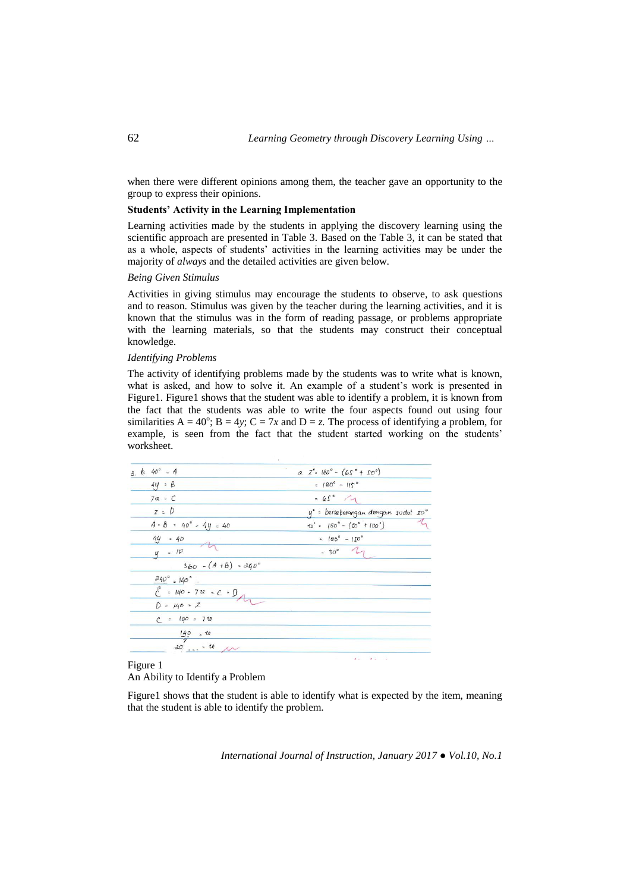when there were different opinions among them, the teacher gave an opportunity to the group to express their opinions.

## **Students' Activity in the Learning Implementation**

Learning activities made by the students in applying the discovery learning using the scientific approach are presented in Table 3. Based on the Table 3, it can be stated that as a whole, aspects of students' activities in the learning activities may be under the majority of *always* and the detailed activities are given below.

## *Being Given Stimulus*

Activities in giving stimulus may encourage the students to observe, to ask questions and to reason. Stimulus was given by the teacher during the learning activities, and it is known that the stimulus was in the form of reading passage, or problems appropriate with the learning materials, so that the students may construct their conceptual knowledge.

## *Identifying Problems*

The activity of identifying problems made by the students was to write what is known, what is asked, and how to solve it. An example of a student's work is presented in Figure1. Figure1 shows that the student was able to identify a problem, it is known from the fact that the students was able to write the four aspects found out using four similarities  $A = 40^{\circ}$ ;  $B = 4y$ ;  $C = 7x$  and  $D = z$ . The process of identifying a problem, for example, is seen from the fact that the student started working on the students' worksheet.

| $3. b. 40^{\circ} = A$         | $a. Z^{\circ}$ $180^{\circ}$ - $(65^{\circ} + 50^{\circ})$ |  |  |  |  |
|--------------------------------|------------------------------------------------------------|--|--|--|--|
| $44 = 8$                       | $= 180^{\circ} - 115^{\circ}$                              |  |  |  |  |
| $7u = C$                       | $-65^\circ$ 4                                              |  |  |  |  |
| $z = D$                        | y° = berseberangan dengan sudut so°                        |  |  |  |  |
| $A = B = 40^{\circ} - 4y = 40$ | $\pi^*$ = $(80^\circ - (\Omega^\circ + 100^\circ))$        |  |  |  |  |
| $44 = 40$                      | $= 180^{\circ} - 150^{\circ}$                              |  |  |  |  |
| $y = 10$                       | $= 30^{\circ}$ $\frac{1}{1}$                               |  |  |  |  |
| $360 - (A + B) = 340^{\circ}$  |                                                            |  |  |  |  |
| $240^{\circ}$ = $140^{\circ}$  |                                                            |  |  |  |  |
| $C = 140 - 740 - C = 0$        |                                                            |  |  |  |  |
| $D = 140 = Z$                  |                                                            |  |  |  |  |
| $C = 140 = 710$                |                                                            |  |  |  |  |
|                                |                                                            |  |  |  |  |
| $\frac{140}{7}$ = 10           |                                                            |  |  |  |  |
|                                | $A = 0$ $A = 0$                                            |  |  |  |  |

## Figure 1

## An Ability to Identify a Problem

Figure1 shows that the student is able to identify what is expected by the item, meaning that the student is able to identify the problem.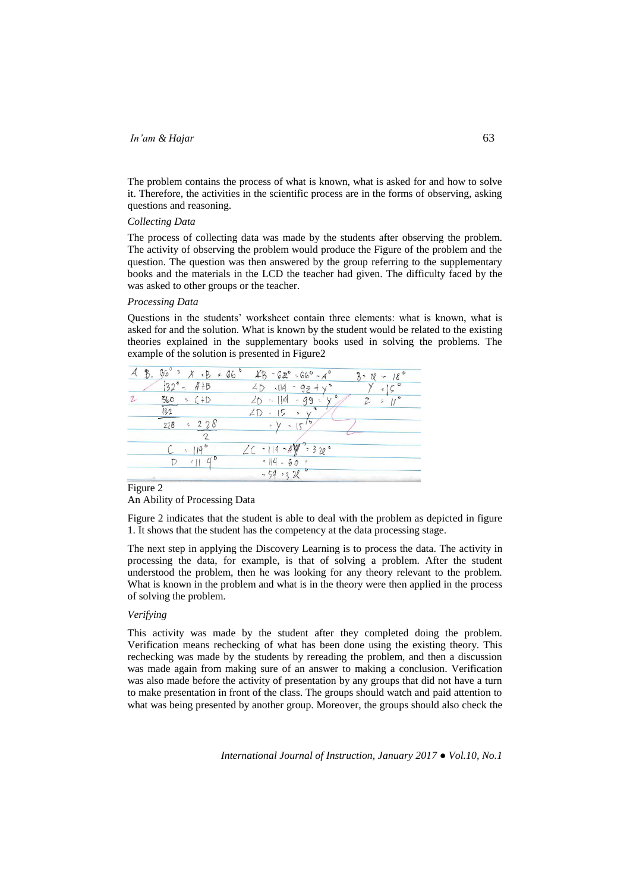The problem contains the process of what is known, what is asked for and how to solve it. Therefore, the activities in the scientific process are in the forms of observing, asking questions and reasoning.

## *Collecting Data*

The process of collecting data was made by the students after observing the problem. The activity of observing the problem would produce the Figure of the problem and the question. The question was then answered by the group referring to the supplementary books and the materials in the LCD the teacher had given. The difficulty faced by the was asked to other groups or the teacher.

## *Processing Data*

Questions in the students' worksheet contain three elements: what is known, what is asked for and the solution. What is known by the student would be related to the existing theories explained in the supplementary books used in solving the problems. The example of the solution is presented in Figure2

| 660 |                                   | $-B = 66$ |                          | $48 - 62^{\circ} - 66^{\circ} - 4^{\circ}$ | $K -$<br>U | 180<br>$\mathcal{L}_{\mathcal{P}}$ |
|-----|-----------------------------------|-----------|--------------------------|--------------------------------------------|------------|------------------------------------|
|     | $132^6 - 41B$                     |           | 2D<br>.14                | $-9z+y$                                    |            | $\frac{1}{2}$                      |
| 560 | $=$ (+D                           |           | $-10$                    | - 99<br>$\sim$                             |            | ź.                                 |
| 132 |                                   |           |                          | $\sim$                                     |            |                                    |
| 228 | ÷                                 |           | $\overline{\mathcal{L}}$ | $\sigma$<br>$\sim$                         |            |                                    |
|     | $\sigma$                          |           |                          |                                            |            |                                    |
|     | $-119$                            |           | 14                       | $-44 = 32e$                                |            |                                    |
| D   | $\mathcal{U}^{\mathsf{D}}$<br>511 |           | $14 - 60 =$              |                                            |            |                                    |
|     |                                   |           | $-54.32$                 |                                            |            |                                    |

#### Figure 2

An Ability of Processing Data

Figure 2 indicates that the student is able to deal with the problem as depicted in figure 1. It shows that the student has the competency at the data processing stage.

The next step in applying the Discovery Learning is to process the data. The activity in processing the data, for example, is that of solving a problem. After the student understood the problem, then he was looking for any theory relevant to the problem. What is known in the problem and what is in the theory were then applied in the process of solving the problem.

## *Verifying*

This activity was made by the student after they completed doing the problem. Verification means rechecking of what has been done using the existing theory. This rechecking was made by the students by rereading the problem, and then a discussion was made again from making sure of an answer to making a conclusion. Verification was also made before the activity of presentation by any groups that did not have a turn to make presentation in front of the class. The groups should watch and paid attention to what was being presented by another group. Moreover, the groups should also check the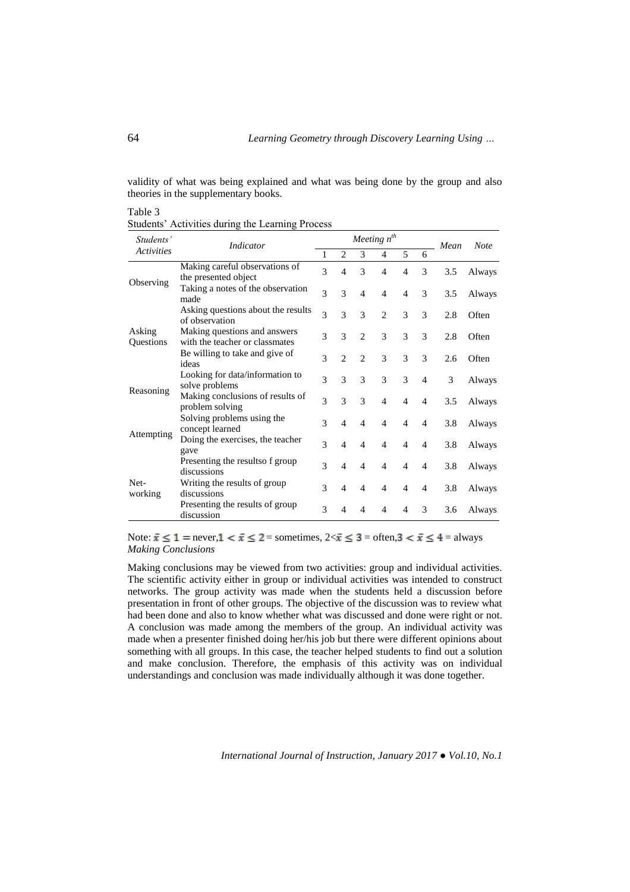validity of what was being explained and what was being done by the group and also theories in the supplementary books.

## Table 3

Students' Activities during the Learning Process

| Students'           | <b>Indicator</b>                                               | Meeting $n^{th}$ |                |                |                          |                          |                | Mean | <b>Note</b> |
|---------------------|----------------------------------------------------------------|------------------|----------------|----------------|--------------------------|--------------------------|----------------|------|-------------|
| <b>Activities</b>   |                                                                |                  | 2              | 3              | $\overline{4}$           | 5                        | 6              |      |             |
| Observing           | Making careful observations of<br>the presented object         | 3                | $\overline{4}$ | $\mathcal{R}$  | 4                        | $\overline{4}$           | 3              | 3.5  | Always      |
|                     | Taking a notes of the observation<br>made                      | $\mathcal{R}$    | 3              | $\overline{4}$ | $\overline{4}$           | $\overline{4}$           | 3              | 3.5  | Always      |
|                     | Asking questions about the results<br>of observation           | $\mathcal{R}$    | 3              | $\mathcal{E}$  | $\overline{c}$           | 3                        | 3              | 2.8  | Often       |
| Asking<br>Questions | Making questions and answers<br>with the teacher or classmates | $\mathcal{R}$    | 3              | $\overline{c}$ | 3                        | 3                        | 3              | 2.8  | Often       |
|                     | Be willing to take and give of<br>ideas                        | 3                | $\mathfrak{D}$ | $\mathfrak{D}$ | 3                        | 3                        | 3              | 2.6  | Often       |
|                     | Looking for data/information to<br>solve problems              | $\mathcal{R}$    | 3              | 3              | 3                        | 3                        | $\overline{4}$ | 3    | Always      |
| Reasoning           | Making conclusions of results of<br>problem solving            | $\mathcal{R}$    | 3              | $\mathcal{F}$  | $\overline{4}$           | $\overline{4}$           | $\overline{4}$ | 3.5  | Always      |
|                     | Solving problems using the<br>concept learned                  | $\mathcal{E}$    | $\overline{4}$ | $\overline{4}$ | $\overline{4}$           | $\overline{4}$           | $\overline{4}$ | 3.8  | Always      |
| Attempting          | Doing the exercises, the teacher<br>gave                       | $\mathcal{E}$    | 4              | 4              | 4                        | $\overline{4}$           | 4              | 3.8  | Always      |
| Net-<br>working     | Presenting the resultso f group<br>discussions                 | $\mathcal{E}$    | $\overline{4}$ | $\overline{4}$ | $\overline{\mathcal{A}}$ | $\overline{4}$           | 4              | 3.8  | Always      |
|                     | Writing the results of group<br>discussions                    | 3                | $\overline{4}$ | $\overline{4}$ | $\overline{4}$           | $\overline{4}$           | 4              | 3.8  | Always      |
|                     | Presenting the results of group<br>discussion                  | $\mathcal{R}$    | 4              | 4              | 4                        | $\overline{\mathcal{A}}$ | $\mathcal{R}$  | 3.6  | Always      |

Note:  $\bar{x} \le 1$  = never,  $1 < \bar{x} \le 2$  = sometimes,  $2 < \bar{x} \le 3$  = often,  $3 < \bar{x} \le 4$  = always *Making Conclusions*

Making conclusions may be viewed from two activities: group and individual activities. The scientific activity either in group or individual activities was intended to construct networks. The group activity was made when the students held a discussion before presentation in front of other groups. The objective of the discussion was to review what had been done and also to know whether what was discussed and done were right or not. A conclusion was made among the members of the group. An individual activity was made when a presenter finished doing her/his job but there were different opinions about something with all groups. In this case, the teacher helped students to find out a solution and make conclusion. Therefore, the emphasis of this activity was on individual understandings and conclusion was made individually although it was done together.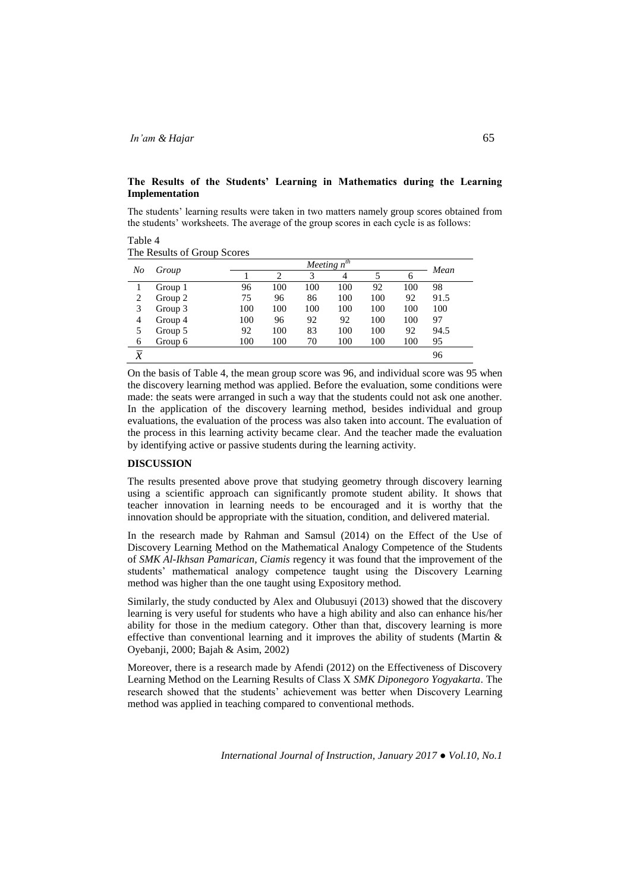# **The Results of the Students' Learning in Mathematics during the Learning Implementation**

The students' learning results were taken in two matters namely group scores obtained from the students' worksheets. The average of the group scores in each cycle is as follows:

#### Table 4 The Results of Group Scores

| No             | Group   |     | Mean |     |                |     |     |      |
|----------------|---------|-----|------|-----|----------------|-----|-----|------|
|                |         |     | 2    | 3   | $\overline{4}$ |     | n   |      |
|                | Group 1 | 96  | 100  | 100 | 100            | 92  | 100 | 98   |
| 2              | Group 2 | 75  | 96   | 86  | 100            | 100 | 92  | 91.5 |
| 3              | Group 3 | 100 | 100  | 100 | 100            | 100 | 100 | 100  |
| 4              | Group 4 | 100 | 96   | 92  | 92             | 100 | 100 | 97   |
| 5              | Group 5 | 92  | 100  | 83  | 100            | 100 | 92  | 94.5 |
| 6              | Group 6 | 100 | 100  | 70  | 100            | 100 | 100 | 95   |
| $\overline{x}$ |         |     |      |     |                |     |     | 96   |

On the basis of Table 4, the mean group score was 96, and individual score was 95 when the discovery learning method was applied. Before the evaluation, some conditions were made: the seats were arranged in such a way that the students could not ask one another. In the application of the discovery learning method, besides individual and group evaluations, the evaluation of the process was also taken into account. The evaluation of the process in this learning activity became clear. And the teacher made the evaluation by identifying active or passive students during the learning activity.

## **DISCUSSION**

The results presented above prove that studying geometry through discovery learning using a scientific approach can significantly promote student ability. It shows that teacher innovation in learning needs to be encouraged and it is worthy that the innovation should be appropriate with the situation, condition, and delivered material.

In the research made by Rahman and Samsul (2014) on the Effect of the Use of Discovery Learning Method on the Mathematical Analogy Competence of the Students of *SMK Al-Ikhsan Pamarican, Ciamis* regency it was found that the improvement of the students' mathematical analogy competence taught using the Discovery Learning method was higher than the one taught using Expository method.

Similarly, the study conducted by Alex and Olubusuyi (2013) showed that the discovery learning is very useful for students who have a high ability and also can enhance his/her ability for those in the medium category. Other than that, discovery learning is more effective than conventional learning and it improves the ability of students (Martin & Oyebanji, 2000; Bajah & Asim, 2002)

Moreover, there is a research made by Afendi (2012) on the Effectiveness of Discovery Learning Method on the Learning Results of Class X *SMK Diponegoro Yogyakarta*. The research showed that the students' achievement was better when Discovery Learning method was applied in teaching compared to conventional methods.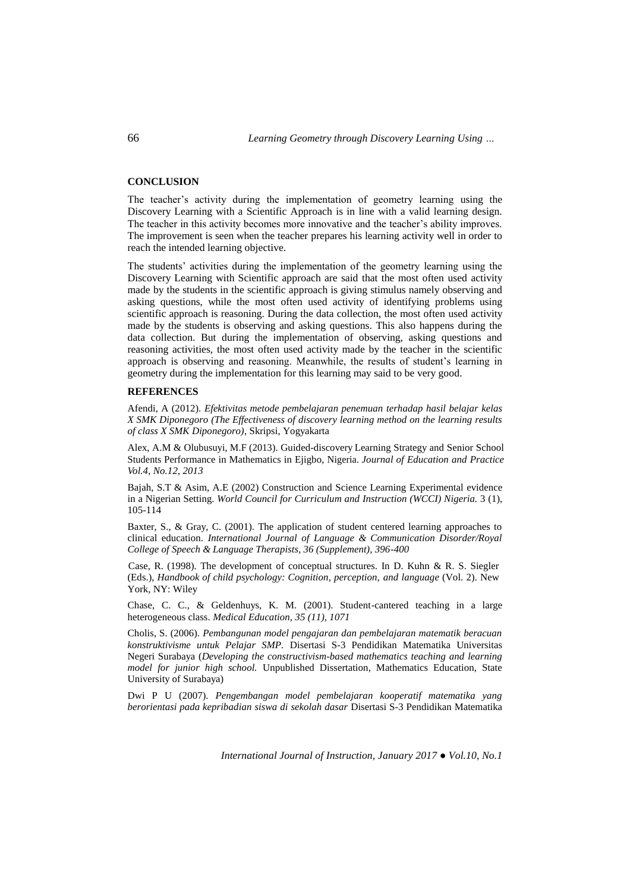## **CONCLUSION**

The teacher's activity during the implementation of geometry learning using the Discovery Learning with a Scientific Approach is in line with a valid learning design. The teacher in this activity becomes more innovative and the teacher's ability improves. The improvement is seen when the teacher prepares his learning activity well in order to reach the intended learning objective.

The students' activities during the implementation of the geometry learning using the Discovery Learning with Scientific approach are said that the most often used activity made by the students in the scientific approach is giving stimulus namely observing and asking questions, while the most often used activity of identifying problems using scientific approach is reasoning. During the data collection, the most often used activity made by the students is observing and asking questions. This also happens during the data collection. But during the implementation of observing, asking questions and reasoning activities, the most often used activity made by the teacher in the scientific approach is observing and reasoning. Meanwhile, the results of student's learning in geometry during the implementation for this learning may said to be very good.

## **REFERENCES**

Afendi, A (2012). *Efektivitas metode pembelajaran penemuan terhadap hasil belajar kelas X SMK Diponegoro (The Effectiveness of discovery learning method on the learning results of class X SMK Diponegoro)*, Skripsi, Yogyakarta

Alex, A.M & Olubusuyi, M.F (2013). Guided-discovery Learning Strategy and Senior School Students Performance in Mathematics in Ejigbo, Nigeria. *Journal of Education and Practice Vol.4, No.12, 2013*

Bajah, S.T & Asim, A.E (2002) Construction and Science Learning Experimental evidence in a Nigerian Setting. *World Council for Curriculum and Instruction (WCCI) Nigeria.* 3 (1), 105-114

Baxter, S., & Gray, C. (2001). The application of student centered learning approaches to clinical education. *International Journal of Language & Communication Disorder/Royal College of Speech & Language Therapists, 36 (Supplement), 396-400*

Case, R. (1998). The development of conceptual structures. In D. Kuhn & R. S. Siegler (Eds.), *Handbook of child psychology: Cognition, perception, and language* (Vol. 2). New York, NY: Wiley

Chase, C. C., & Geldenhuys, K. M. (2001). Student-cantered teaching in a large heterogeneous class. *Medical Education, 35 (11), 1071*

Cholis, S. (2006). *Pembangunan model pengajaran dan pembelajaran matematik beracuan konstruktivisme untuk Pelajar SMP.* Disertasi S-3 Pendidikan Matematika Universitas Negeri Surabaya (*Developing the constructivism-based mathematics teaching and learning model for junior high school.* Unpublished Dissertation, Mathematics Education, State University of Surabaya)

Dwi P U (2007). *Pengembangan model pembelajaran kooperatif matematika yang berorientasi pada kepribadian siswa di sekolah dasar* Disertasi S-3 Pendidikan Matematika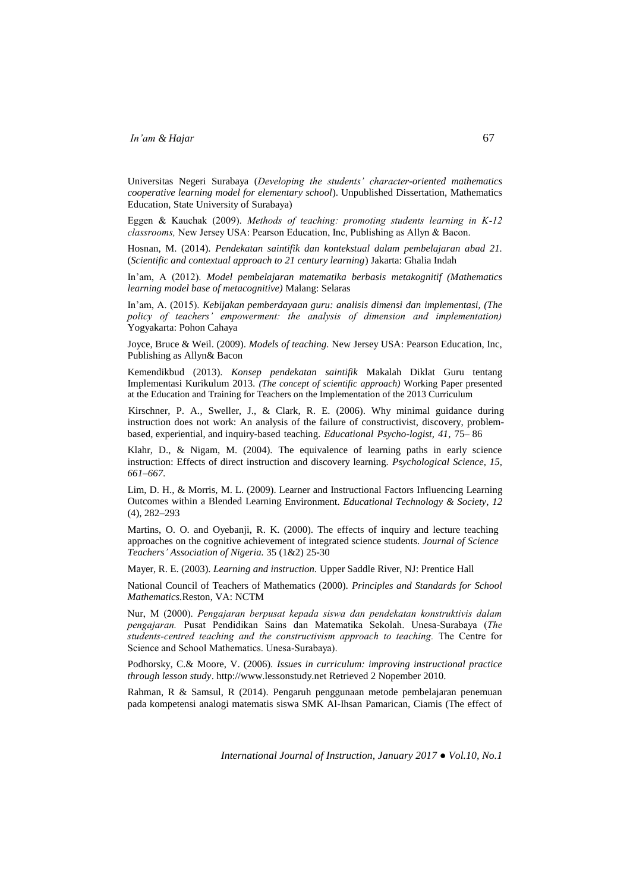Universitas Negeri Surabaya (*Developing the students' character-oriented mathematics cooperative learning model for elementary school*). Unpublished Dissertation, Mathematics Education, State University of Surabaya)

Eggen & Kauchak (2009). *Methods of teaching: promoting students learning in K-12 classrooms,* New Jersey USA: Pearson Education, Inc, Publishing as Allyn & Bacon.

Hosnan, M. (2014). *Pendekatan saintifik dan kontekstual dalam pembelajaran abad 21.*  (*Scientific and contextual approach to 21 century learning*) Jakarta: Ghalia Indah

In'am, A (2012). *Model pembelajaran matematika berbasis metakognitif (Mathematics learning model base of metacognitive)* Malang: Selaras

In'am, A. (2015). *Kebijakan pemberdayaan guru: analisis dimensi dan implementasi, (The policy of teachers' empowerment: the analysis of dimension and implementation)*  Yogyakarta: Pohon Cahaya

Joyce, Bruce & Weil. (2009). *Models of teaching.* New Jersey USA: Pearson Education, Inc, Publishing as Allyn& Bacon

Kemendikbud (2013). *Konsep pendekatan saintifik* Makalah Diklat Guru tentang Implementasi Kurikulum 2013*. (The concept of scientific approach)* Working Paper presented at the Education and Training for Teachers on the Implementation of the 2013 Curriculum

Kirschner, P. A., Sweller, J., & Clark, R. E. (2006). Why minimal guidance during instruction does not work: An analysis of the failure of constructivist, discovery, problembased, experiential, and inquiry-based teaching. *Educational Psycho-logist, 41,* 75– 86

Klahr, D., & Nigam, M. (2004). The equivalence of learning paths in early science instruction: Effects of direct instruction and discovery learning. *Psychological Science, 15, 661–667.*

Lim, D. H., & Morris, M. L. (2009). Learner and Instructional Factors Influencing Learning Outcomes within a Blended Learning Environment. *Educational Technology & Society*, *12* (4), 282–293

Martins, O. O. and Oyebanji, R. K. (2000). The effects of inquiry and lecture teaching approaches on the cognitive achievement of integrated science students. *Journal of Science Teachers' Association of Nigeria.* 35 (1&2) 25-30

Mayer, R. E. (2003). *Learning and instruction.* Upper Saddle River, NJ: Prentice Hall

National Council of Teachers of Mathematics (2000). *Principles and Standards for School Mathematics.*Reston, VA: NCTM

Nur, M (2000). *Pengajaran berpusat kepada siswa dan pendekatan konstruktivis dalam pengajaran.* Pusat Pendidikan Sains dan Matematika Sekolah. Unesa-Surabaya (*The students-centred teaching and the constructivism approach to teaching.* The Centre for Science and School Mathematics. Unesa-Surabaya).

Podhorsky, C.& Moore, V. (2006). *Issues in curriculum: improving instructional practice through lesson study*[. http://www.lessonstudy.net](http://www.lessonstudy.net/) Retrieved 2 Nopember 2010.

Rahman, R & Samsul, R (2014). Pengaruh penggunaan metode pembelajaran penemuan pada kompetensi analogi matematis siswa SMK Al-Ihsan Pamarican, Ciamis (The effect of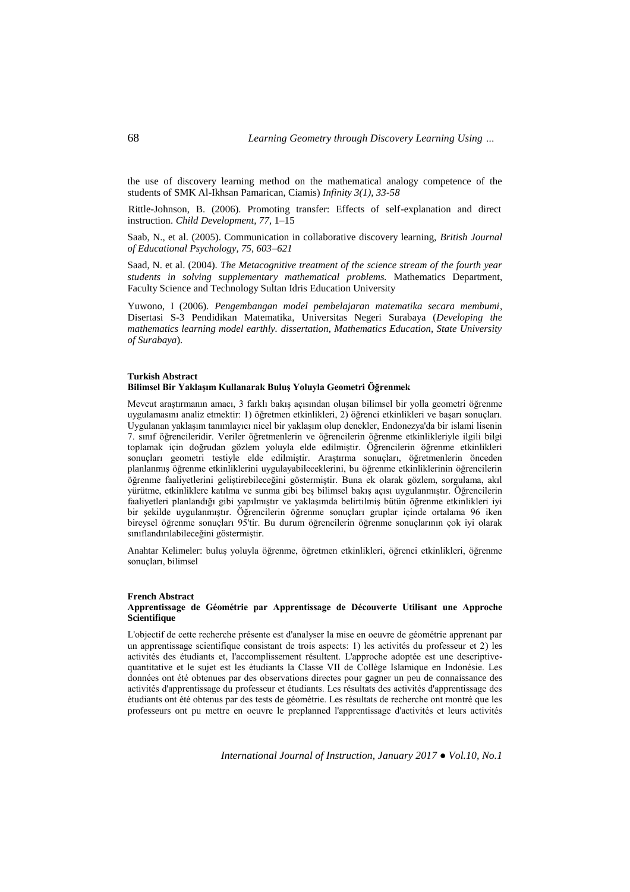the use of discovery learning method on the mathematical analogy competence of the students of SMK Al-Ikhsan Pamarican, Ciamis) *Infinity 3(1), 33-58*

Rittle-Johnson, B. (2006). Promoting transfer: Effects of self-explanation and direct instruction. *Child Development, 77,* 1–15

Saab, N., et al. (2005). Communication in collaborative discovery learning, *British Journal of Educational Psychology, 75, 603–621*

Saad, N. et al. (2004). *The Metacognitive treatment of the science stream of the fourth year students in solving supplementary mathematical problems.* Mathematics Department, Faculty Science and Technology Sultan Idris Education University

Yuwono, I (2006). *Pengembangan model pembelajaran matematika secara membumi*, Disertasi S-3 Pendidikan Matematika, Universitas Negeri Surabaya (*Developing the mathematics learning model earthly. dissertation, Mathematics Education, State University of Surabaya*).

#### **Turkish Abstract Bilimsel Bir Yaklaşım Kullanarak Buluş Yoluyla Geometri Öğrenmek**

Mevcut araştırmanın amacı, 3 farklı bakış açısından oluşan bilimsel bir yolla geometri öğrenme uygulamasını analiz etmektir: 1) öğretmen etkinlikleri, 2) öğrenci etkinlikleri ve başarı sonuçları. Uygulanan yaklaşım tanımlayıcı nicel bir yaklaşım olup denekler, Endonezya'da bir islami lisenin 7. sınıf öğrencileridir. Veriler öğretmenlerin ve öğrencilerin öğrenme etkinlikleriyle ilgili bilgi toplamak için doğrudan gözlem yoluyla elde edilmiştir. Öğrencilerin öğrenme etkinlikleri sonuçları geometri testiyle elde edilmiştir. Araştırma sonuçları, öğretmenlerin önceden planlanmış öğrenme etkinliklerini uygulayabileceklerini, bu öğrenme etkinliklerinin öğrencilerin öğrenme faaliyetlerini geliştirebileceğini göstermiştir. Buna ek olarak gözlem, sorgulama, akıl yürütme, etkinliklere katılma ve sunma gibi beş bilimsel bakış açısı uygulanmıştır. Öğrencilerin faaliyetleri planlandığı gibi yapılmıştır ve yaklaşımda belirtilmiş bütün öğrenme etkinlikleri iyi bir şekilde uygulanmıştır. Öğrencilerin öğrenme sonuçları gruplar içinde ortalama 96 iken bireysel öğrenme sonuçları 95'tir. Bu durum öğrencilerin öğrenme sonuçlarının çok iyi olarak sınıflandırılabileceğini göstermiştir.

Anahtar Kelimeler: buluş yoluyla öğrenme, öğretmen etkinlikleri, öğrenci etkinlikleri, öğrenme sonuçları, bilimsel

#### **French Abstract**

### **Apprentissage de Géométrie par Apprentissage de Découverte Utilisant une Approche Scientifique**

L'objectif de cette recherche présente est d'analyser la mise en oeuvre de géométrie apprenant par un apprentissage scientifique consistant de trois aspects: 1) les activités du professeur et 2) les activités des étudiants et, l'accomplissement résultent. L'approche adoptée est une descriptivequantitative et le sujet est les étudiants la Classe VII de Collège Islamique en Indonésie. Les données ont été obtenues par des observations directes pour gagner un peu de connaissance des activités d'apprentissage du professeur et étudiants. Les résultats des activités d'apprentissage des étudiants ont été obtenus par des tests de géométrie. Les résultats de recherche ont montré que les professeurs ont pu mettre en oeuvre le preplanned l'apprentissage d'activités et leurs activités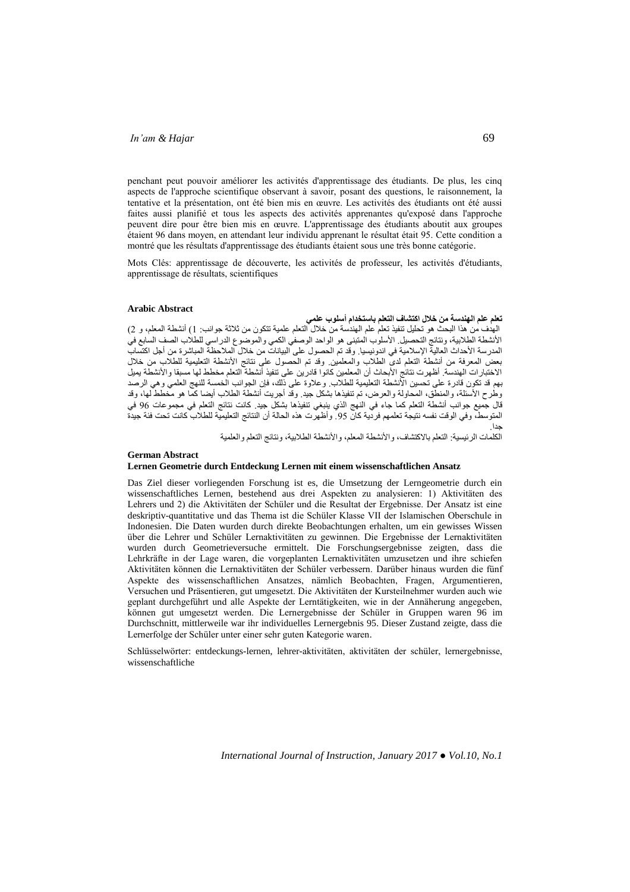penchant peut pouvoir améliorer les activités d'apprentissage des étudiants. De plus, les cinq aspects de l'approche scientifique observant à savoir, posant des questions, le raisonnement, la tentative et la présentation, ont été bien mis en œuvre. Les activités des étudiants ont été aussi faites aussi planifié et tous les aspects des activités apprenantes qu'exposé dans l'approche peuvent dire pour être bien mis en œuvre. L'apprentissage des étudiants aboutit aux groupes étaient 96 dans moyen, en attendant leur individu apprenant le résultat était 95. Cette condition a montré que les résultats d'apprentissage des étudiants étaient sous une très bonne catégorie.

Mots Clés: apprentissage de découverte, les activités de professeur, les activités d'étudiants, apprentissage de résultats, scientifiques

#### **Arabic Abstract**

### **تعلم علم الهندسة من خالل اكتشاف التعلم باستخدام أسلوب علمي**

الهدف من هذا البحث هو تحليل تنفيذ تعلم علم الهندسة من خالل التعلم علمية تتكون من ثالثة جوانب: 1( أنشطة المعلم، و 2( الأنشطة الطلابية، ونتائج التحصيل. الأسلوب المتبنى هو الواحد الوصفي الكمي والموضوع الدراسي للطلاب الصف السابع في المدرسة الأحداث العالية الإسلامية في اندونيسيا. وقد تم الحصول على البيانات من خلال الملاحظة المباشرة من أجل اكتساب بعض المعرفة من أنشطة التعلم لدى الطلاب والمعلمين. وقد تم الحصول على نتائج الأنشطة التعليمية للطلاب من خلال الاختبارات الهندسة. أظهرت نتائج الأبحاث أن المعلمين كانوا قادرين على تنفيذ أنشطة التعلم مخطط لها مسبقا والانشطة يميل بهم قد تكون قادرة على تحسين الانشطة التعليمية للطلاب. وعلاوة على ذلك، فإن الجوانب الخمسة للنهج العلمي وهي الرصد وطرح الأسنلة، والمنطق، المحاولة والعرض، تم تنفيذها بشكل جيد. وقد أجريت أنشطة الطلاب أيضا كما هو مخطط لها، وقد قال جميع جوانب أنشطة التعلم تما جاء في النهج الذي ينبغي تنفيذها بشكل جيد. تانت نتائج التعلم في مجموعات 69 في المتوسط، وفي الوقت نفسه نتيجة تعلمهم فردية كان 95. وأظهرت هذه الحالة أن النتائج التعليمية للطلاب كانت تحت فئة جيدة جدا.

الكلمات الرئيسية: التعلم بالاكتشاف، والأنشطة المعلم، والأنشطة الطلابية، ونتائج التعلم والعلمية

#### **German Abstract Lernen Geometrie durch Entdeckung Lernen mit einem wissenschaftlichen Ansatz**

Das Ziel dieser vorliegenden Forschung ist es, die Umsetzung der Lerngeometrie durch ein wissenschaftliches Lernen, bestehend aus drei Aspekten zu analysieren: 1) Aktivitäten des Lehrers und 2) die Aktivitäten der Schüler und die Resultat der Ergebnisse. Der Ansatz ist eine deskriptiv-quantitative und das Thema ist die Schüler Klasse VII der Islamischen Oberschule in Indonesien. Die Daten wurden durch direkte Beobachtungen erhalten, um ein gewisses Wissen über die Lehrer und Schüler Lernaktivitäten zu gewinnen. Die Ergebnisse der Lernaktivitäten wurden durch Geometrieversuche ermittelt. Die Forschungsergebnisse zeigten, dass die Lehrkräfte in der Lage waren, die vorgeplanten Lernaktivitäten umzusetzen und ihre schiefen Aktivitäten können die Lernaktivitäten der Schüler verbessern. Darüber hinaus wurden die fünf Aspekte des wissenschaftlichen Ansatzes, nämlich Beobachten, Fragen, Argumentieren, Versuchen und Präsentieren, gut umgesetzt. Die Aktivitäten der Kursteilnehmer wurden auch wie geplant durchgeführt und alle Aspekte der Lerntätigkeiten, wie in der Annäherung angegeben, können gut umgesetzt werden. Die Lernergebnisse der Schüler in Gruppen waren 96 im Durchschnitt, mittlerweile war ihr individuelles Lernergebnis 95. Dieser Zustand zeigte, dass die Lernerfolge der Schüler unter einer sehr guten Kategorie waren.

Schlüsselwörter: entdeckungs-lernen, lehrer-aktivitäten, aktivitäten der schüler, lernergebnisse, wissenschaftliche